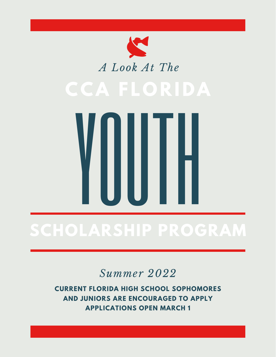



# **SCHOLARSHIP PROGRAM**

#### *Summer 2022*

**CURRENT FLORIDA HIGH SCHOOL SOPHOMORES AND JUNIORS ARE ENCOURAGED TO APPLY APPLICATIONS OPEN MARCH 1**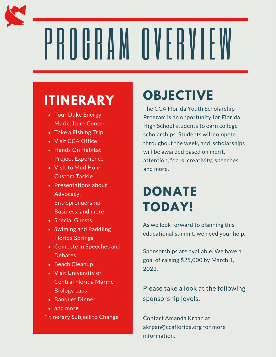# PROGRAM OVERVIEW

#### **ITINERARY**

- Tour Duke Energy Mariculture Center
- Take a Fishing Trip
- Visit CCA Office
- Hands On Habitat Project Experience
- Visit to Mud Hole Custom Tackle
- Presentations about Advocacy, Entreprenuership, Business, and more
- Special Guests
- Swiming and Paddling Florida Springs
- Compete in Speeches and **Debates**
- Beach Cleanup
- Visit University of Central Florida Marine Biology Labs
- Banquet Dinner
- and more \*Itinerary Subject to Change

## **OBJECTIVE**

The CCA Florida Youth Scholarship Program is an opportunity for Florida High School students to earn college scholarships. Students will compete throughout the week, and scholarships will be awarded based on merit. attention, focus, creativity, speeches, and more.

### **DONATE TODAY!**

As we look forward to planning this educational summit, we need your help.

Sponsorships are available. We have a goal of raising \$25,000 by March 1, 2022.

Please take a look at the following sponsorship levels.

Contact Amanda Krpan at akrpan@ccaflorida.org for more information.